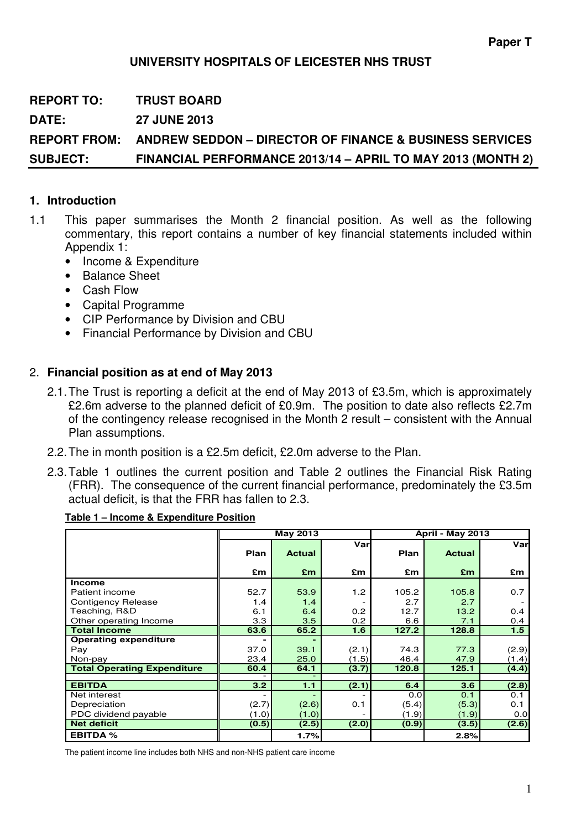#### **UNIVERSITY HOSPITALS OF LEICESTER NHS TRUST**

**REPORT TO: TRUST BOARD DATE: 27 JUNE 2013 REPORT FROM: ANDREW SEDDON – DIRECTOR OF FINANCE & BUSINESS SERVICES SUBJECT: FINANCIAL PERFORMANCE 2013/14 – APRIL TO MAY 2013 (MONTH 2)** 

#### **1. Introduction**

- 1.1 This paper summarises the Month 2 financial position. As well as the following commentary, this report contains a number of key financial statements included within Appendix 1:
	- Income & Expenditure
	- Balance Sheet
	- Cash Flow
	- Capital Programme
	- CIP Performance by Division and CBU
	- Financial Performance by Division and CBU

#### 2. **Financial position as at end of May 2013**

- 2.1. The Trust is reporting a deficit at the end of May 2013 of £3.5m, which is approximately £2.6m adverse to the planned deficit of £0.9m. The position to date also reflects £2.7m of the contingency release recognised in the Month 2 result – consistent with the Annual Plan assumptions.
- 2.2. The in month position is a £2.5m deficit, £2.0m adverse to the Plan.
- 2.3. Table 1 outlines the current position and Table 2 outlines the Financial Risk Rating (FRR). The consequence of the current financial performance, predominately the £3.5m actual deficit, is that the FRR has fallen to 2.3.

#### **Table 1 – Income & Expenditure Position**

|                                    |       | <b>May 2013</b> |       | April - May 2013 |               |       |  |
|------------------------------------|-------|-----------------|-------|------------------|---------------|-------|--|
|                                    | Plan  | <b>Actual</b>   | Var   | Plan             | <b>Actual</b> | Varl  |  |
|                                    | £m    | Em              | £m    | £m               | £m            | £m    |  |
| <b>Income</b>                      |       |                 |       |                  |               |       |  |
| Patient income                     | 52.7  | 53.9            | 1.2   | 105.2            | 105.8         | 0.7   |  |
| <b>Contigency Release</b>          | 1.4   | 1.4             |       | 2.7              | 2.7           |       |  |
| Teaching, R&D                      | 6.1   | 6.4             | 0.2   | 12.7             | 13.2          | 0.4   |  |
| Other operating Income             | 3.3   | 3.5             | 0.2   | 6.6              | 7.1           | 0.4   |  |
| <b>Total Income</b>                | 63.6  | 65.2            | 1.6   | 127.2            | 128.8         | 1.5   |  |
| <b>Operating expenditure</b>       |       |                 |       |                  |               |       |  |
| Pay                                | 37.0  | 39.1            | (2.1) | 74.3             | 77.3          | (2.9) |  |
| Non-pay                            | 23.4  | 25.0            | (1.5) | 46.4             | 47.9          | (1.4) |  |
| <b>Total Operating Expenditure</b> | 60.4  | 64.1            | (3.7) | 120.8            | 125.1         | (4.4) |  |
|                                    |       |                 |       |                  |               |       |  |
| <b>EBITDA</b>                      | 3.2   | 1.1             | (2.1) | 6.4              | 3.6           | (2.8) |  |
| Net interest                       |       |                 |       | 0.0              | 0.1           | 0.1   |  |
| Depreciation                       | (2.7) | (2.6)           | 0.1   | (5.4)            | (5.3)         | 0.1   |  |
| PDC dividend payable               | (1.0) | (1.0)           |       | (1.9)            | (1.9)         | 0.0   |  |
| <b>Net deficit</b>                 | (0.5) | (2.5)           | (2.0) | (0.9)            | (3.5)         | (2.6) |  |
| <b>EBITDA%</b>                     |       | 1.7%            |       |                  | 2.8%          |       |  |

The patient income line includes both NHS and non-NHS patient care income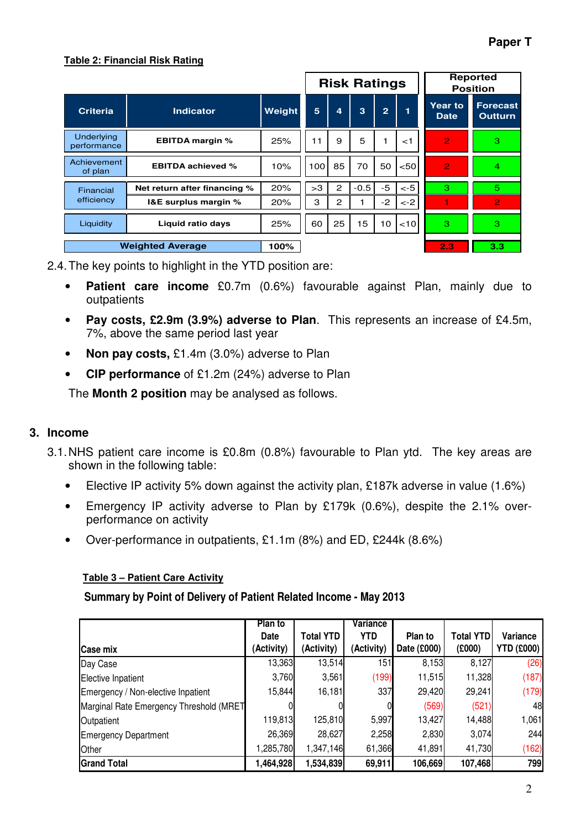#### **Table 2: Financial Risk Rating**

|                           |                              |        |     |                         | <b>Risk Ratings</b>     |      | <b>Reported</b><br><b>Position</b> |                               |                                   |
|---------------------------|------------------------------|--------|-----|-------------------------|-------------------------|------|------------------------------------|-------------------------------|-----------------------------------|
| <b>Criteria</b>           | <b>Indicator</b>             | Weight | 5   | $\overline{\mathbf{A}}$ | $\overline{\mathbf{3}}$ | 2    | 1                                  | <b>Year to</b><br><b>Date</b> | <b>Forecast</b><br><b>Outturn</b> |
| Underlying<br>performance | <b>EBITDA margin %</b>       | 25%    | 11  | 9                       | 5                       |      | $<$ 1                              | $\overline{2}$                | 3                                 |
| Achievement<br>of plan    | <b>EBITDA achieved %</b>     | 10%    | 100 | 85                      | 70                      | 50   | < 50                               | $\overline{2}$                | 4                                 |
| Financial                 | Net return after financing % | 20%    | >3  | $\overline{2}$          | $-0.5$                  | $-5$ | $< -5$                             | 3                             | 5                                 |
| efficiency                | I&E surplus margin %         | 20%    | 3   | $\overline{2}$          |                         | $-2$ | $<-2$                              |                               | $\overline{2}$                    |
| Liquidity                 | Liquid ratio days            | 25%    | 60  | 25                      | 15                      | 10   | $<$ 10                             | 3                             | 3                                 |
| <b>Weighted Average</b>   |                              | 100%   |     |                         |                         |      |                                    | 2.3                           | 3.3                               |

2.4. The key points to highlight in the YTD position are:

- • **Patient care income** £0.7m (0.6%) favourable against Plan, mainly due to outpatients
- • **Pay costs, £2.9m (3.9%) adverse to Plan**. This represents an increase of £4.5m, 7%, above the same period last year
- • **Non pay costs,** £1.4m (3.0%) adverse to Plan
- • **CIP performance** of £1.2m (24%) adverse to Plan

The **Month 2 position** may be analysed as follows.

# **3. Income**

- 3.1. NHS patient care income is £0.8m (0.8%) favourable to Plan ytd. The key areas are shown in the following table:
	- Elective IP activity 5% down against the activity plan, £187k adverse in value (1.6%)
	- Emergency IP activity adverse to Plan by £179k (0.6%), despite the 2.1% overperformance on activity
	- Over-performance in outpatients, £1.1m (8%) and ED, £244k (8.6%)

# **Table 3 – Patient Care Activity**

# **Summary by Point of Delivery of Patient Related Income - May 2013**

|                                         | Plan to     |                  | Variance   |             |           |                   |
|-----------------------------------------|-------------|------------------|------------|-------------|-----------|-------------------|
|                                         | <b>Date</b> | <b>Total YTD</b> | <b>YTD</b> | Plan to     | Total YTD | Variance          |
| Case mix                                | (Activity)  | (Activity)       | (Activity) | Date (£000) | (000)     | <b>YTD (£000)</b> |
| Day Case                                | 13,363      | 13,514           | 151        | 8,153       | 8,127     | (26)              |
| Elective Inpatient                      | 3,760       | 3,561            | (199)      | 11,515      | 11,328    | (187)             |
| Emergency / Non-elective Inpatient      | 15,844      | 16,181           | 337        | 29,420      | 29,241    | (179)             |
| Marginal Rate Emergency Threshold (MRET |             |                  |            | (569)       | (521)     | 48                |
| Outpatient                              | 119,813     | 125,810          | 5,997      | 13,427      | 14,488    | 1,061             |
| <b>Emergency Department</b>             | 26,369      | 28,627           | 2,258      | 2,830       | 3,074     | 244               |
| Other                                   | 1,285,780   | 1,347,146        | 61,366     | 41,891      | 41,730    | (162)             |
| <b>Grand Total</b>                      | 1,464,928   | 1,534,839        | 69,911     | 106,669     | 107,468   | 799               |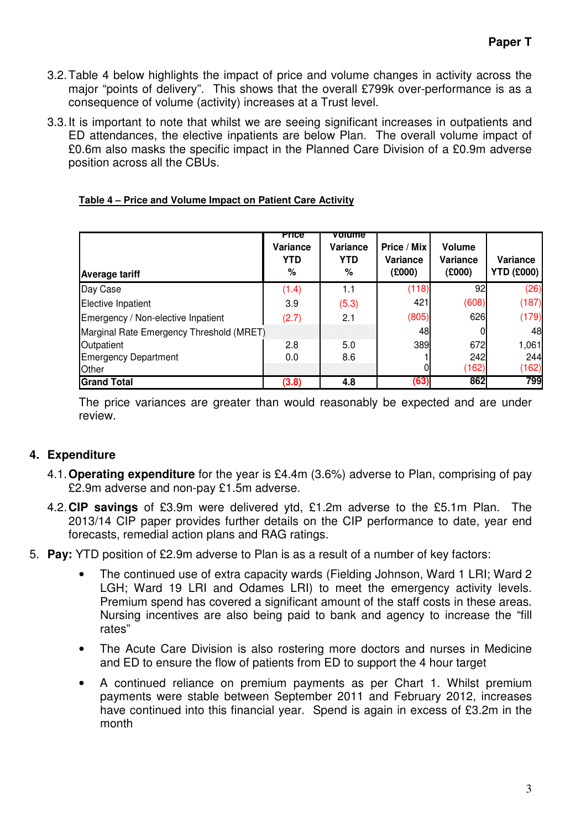- 3.2. Table 4 below highlights the impact of price and volume changes in activity across the major "points of delivery". This shows that the overall £799k over-performance is as a consequence of volume (activity) increases at a Trust level.
- 3.3. It is important to note that whilst we are seeing significant increases in outpatients and ED attendances, the elective inpatients are below Plan. The overall volume impact of £0.6m also masks the specific impact in the Planned Care Division of a £0.9m adverse position across all the CBUs.

|  | Table 4 – Price and Volume Impact on Patient Care Activity |
|--|------------------------------------------------------------|
|  |                                                            |

| Average tariff                           | Price<br>Variance<br>YTD<br>$\%$ | volume<br>Variance<br><b>YTD</b><br>$\%$ | Price / Mix<br>Variance<br>(000) | Volume<br>Variance<br>(000) | Variance<br><b>YTD (£000)</b> |
|------------------------------------------|----------------------------------|------------------------------------------|----------------------------------|-----------------------------|-------------------------------|
| Day Case                                 | (1.4)                            | 1.1                                      | (118)                            | 92                          | (26)                          |
| Elective Inpatient                       | 3.9                              | (5.3)                                    | 421                              | (608)                       | (187)                         |
| Emergency / Non-elective Inpatient       | (2.7)                            | 2.1                                      | (805)                            | 626                         | (179)                         |
| Marginal Rate Emergency Threshold (MRET) |                                  |                                          | 48                               |                             | 48                            |
| Outpatient                               | 2.8                              | 5.0                                      | 389                              | 672                         | 1,061                         |
| <b>Emergency Department</b>              | 0.0                              | 8.6                                      |                                  | 242                         | 244                           |
| Other                                    |                                  |                                          | 01                               | (162)                       | (162)                         |
| <b>Grand Total</b>                       | (3.8)                            | 4.8                                      | (63)                             | 862                         | 799                           |

The price variances are greater than would reasonably be expected and are under review.

# **4. Expenditure**

- 4.1. **Operating expenditure** for the year is £4.4m (3.6%) adverse to Plan, comprising of pay £2.9m adverse and non-pay £1.5m adverse.
- 4.2. **CIP savings** of £3.9m were delivered ytd, £1.2m adverse to the £5.1m Plan. The 2013/14 CIP paper provides further details on the CIP performance to date, year end forecasts, remedial action plans and RAG ratings.
- 5. **Pay:** YTD position of £2.9m adverse to Plan is as a result of a number of key factors:
	- The continued use of extra capacity wards (Fielding Johnson, Ward 1 LRI; Ward 2 LGH; Ward 19 LRI and Odames LRI) to meet the emergency activity levels. Premium spend has covered a significant amount of the staff costs in these areas. Nursing incentives are also being paid to bank and agency to increase the "fill rates"
	- The Acute Care Division is also rostering more doctors and nurses in Medicine and ED to ensure the flow of patients from ED to support the 4 hour target
	- A continued reliance on premium payments as per Chart 1. Whilst premium payments were stable between September 2011 and February 2012, increases have continued into this financial year. Spend is again in excess of £3.2m in the month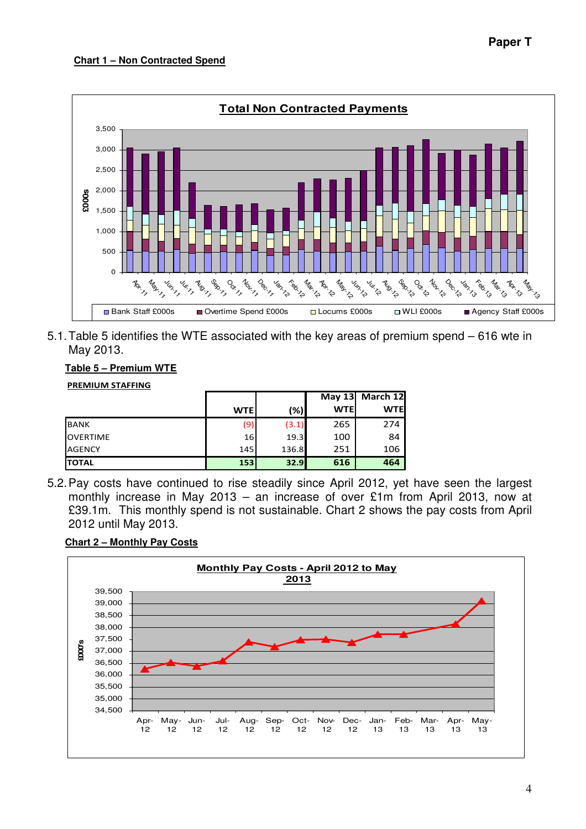

5.1. Table 5 identifies the WTE associated with the key areas of premium spend – 616 wte in May 2013.

#### **Table 5 – Premium WTE**

#### PREMIUM STAFFING

|                 |            |       |            | May 13 March 12 |
|-----------------|------------|-------|------------|-----------------|
|                 | <b>WTE</b> | (%)   | <b>WTE</b> | <b>WTEI</b>     |
| <b>BANK</b>     | (9)        | (3.1) | 265        | 274             |
| <b>OVERTIME</b> | 16         | 19.3  | 100        | 84              |
| <b>AGENCY</b>   | 145        | 136.8 | 251        | 106             |
| <b>ITOTAL</b>   | 153        | 32.9  | 616        | 464             |

5.2. Pay costs have continued to rise steadily since April 2012, yet have seen the largest monthly increase in May 2013 – an increase of over £1m from April 2013, now at £39.1m. This monthly spend is not sustainable. Chart 2 shows the pay costs from April 2012 until May 2013.

#### **Chart 2 – Monthly Pay Costs**

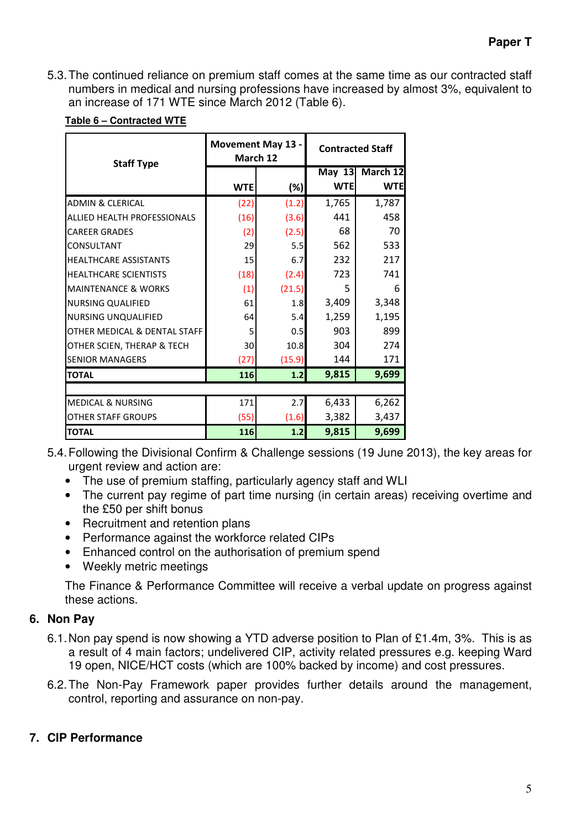5.3. The continued reliance on premium staff comes at the same time as our contracted staff numbers in medical and nursing professions have increased by almost 3%, equivalent to an increase of 171 WTE since March 2012 (Table 6).

| <b>Staff Type</b>                  |            | <b>Movement May 13 -</b><br>March 12 | <b>Contracted Staff</b> |            |  |  |
|------------------------------------|------------|--------------------------------------|-------------------------|------------|--|--|
|                                    |            |                                      | <b>May 13</b>           | March 12   |  |  |
|                                    | <b>WTE</b> | $(\%)$                               | <b>WTE</b>              | <b>WTE</b> |  |  |
| <b>ADMIN &amp; CLERICAL</b>        | (22)       | (1.2)                                | 1,765                   | 1,787      |  |  |
| <b>ALLIED HEALTH PROFESSIONALS</b> | (16)       | (3.6)                                | 441                     | 458        |  |  |
| <b>CAREER GRADES</b>               | (2)        | (2.5)                                | 68                      | 70         |  |  |
| CONSULTANT                         | 29         | 5.5                                  | 562                     | 533        |  |  |
| <b>HEALTHCARE ASSISTANTS</b>       | 15         | 6.7                                  | 232                     | 217        |  |  |
| <b>HEALTHCARE SCIENTISTS</b>       | (18)       | (2.4)                                | 723                     | 741        |  |  |
| <b>MAINTENANCE &amp; WORKS</b>     | (1)        | (21.5)                               | 5                       | 6          |  |  |
| <b>NURSING QUALIFIED</b>           | 61         | 1.8                                  | 3,409                   | 3,348      |  |  |
| NURSING UNQUALIFIED                | 64         | 5.4                                  | 1,259                   | 1,195      |  |  |
| OTHER MEDICAL & DENTAL STAFF       | 5          | 0.5                                  | 903                     | 899        |  |  |
| OTHER SCIEN, THERAP & TECH         | 30         | 10.8                                 | 304                     | 274        |  |  |
| <b>SENIOR MANAGERS</b>             | (27)       | (15.9)                               | 144                     | 171        |  |  |
| <b>TOTAL</b>                       | 116        | $1.2$                                | 9,815                   | 9,699      |  |  |
|                                    |            |                                      |                         |            |  |  |
| <b>MEDICAL &amp; NURSING</b>       | 171        | 2.7                                  | 6,433                   | 6,262      |  |  |
| <b>OTHER STAFF GROUPS</b>          | (55)       | (1.6)                                | 3,382                   | 3,437      |  |  |
| <b>TOTAL</b>                       | 116        | 1.2                                  | 9,815                   | 9,699      |  |  |

#### **Table 6 – Contracted WTE**

- 5.4. Following the Divisional Confirm & Challenge sessions (19 June 2013), the key areas for urgent review and action are:
	- The use of premium staffing, particularly agency staff and WLI
	- The current pay regime of part time nursing (in certain areas) receiving overtime and the £50 per shift bonus
	- Recruitment and retention plans
	- Performance against the workforce related CIPs
	- Enhanced control on the authorisation of premium spend
	- Weekly metric meetings

The Finance & Performance Committee will receive a verbal update on progress against these actions.

# **6. Non Pay**

- 6.1. Non pay spend is now showing a YTD adverse position to Plan of £1.4m, 3%. This is as a result of 4 main factors; undelivered CIP, activity related pressures e.g. keeping Ward 19 open, NICE/HCT costs (which are 100% backed by income) and cost pressures.
- 6.2. The Non-Pay Framework paper provides further details around the management, control, reporting and assurance on non-pay.

# **7. CIP Performance**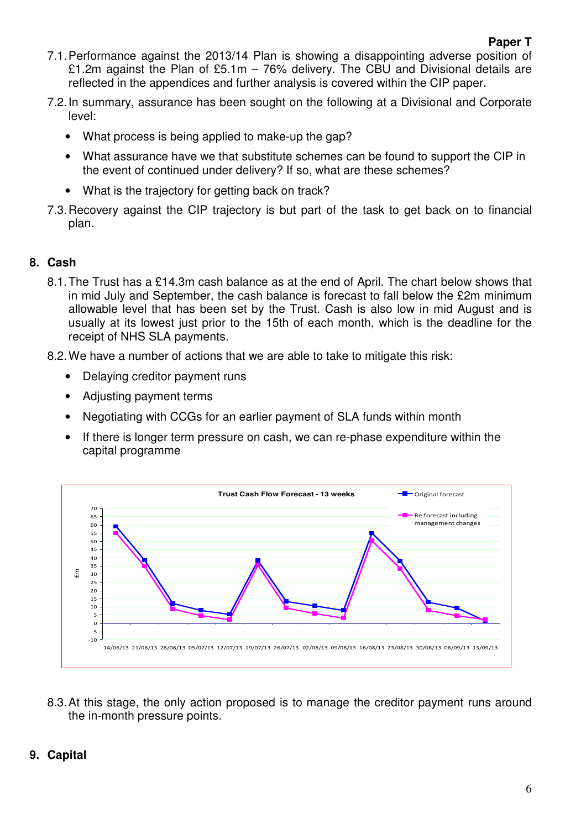- 7.1. Performance against the 2013/14 Plan is showing a disappointing adverse position of £1.2m against the Plan of £5.1m – 76% delivery. The CBU and Divisional details are reflected in the appendices and further analysis is covered within the CIP paper.
- 7.2. In summary, assurance has been sought on the following at a Divisional and Corporate level:
	- What process is being applied to make-up the gap?
	- What assurance have we that substitute schemes can be found to support the CIP in the event of continued under delivery? If so, what are these schemes?
	- What is the trajectory for getting back on track?
- 7.3. Recovery against the CIP trajectory is but part of the task to get back on to financial plan.

# **8. Cash**

8.1. The Trust has a £14.3m cash balance as at the end of April. The chart below shows that in mid July and September, the cash balance is forecast to fall below the £2m minimum allowable level that has been set by the Trust. Cash is also low in mid August and is usually at its lowest just prior to the 15th of each month, which is the deadline for the receipt of NHS SLA payments.

8.2. We have a number of actions that we are able to take to mitigate this risk:

- Delaying creditor payment runs
- Adjusting payment terms
- Negotiating with CCGs for an earlier payment of SLA funds within month
- If there is longer term pressure on cash, we can re-phase expenditure within the capital programme



- 8.3. At this stage, the only action proposed is to manage the creditor payment runs around the in-month pressure points.
- **9. Capital**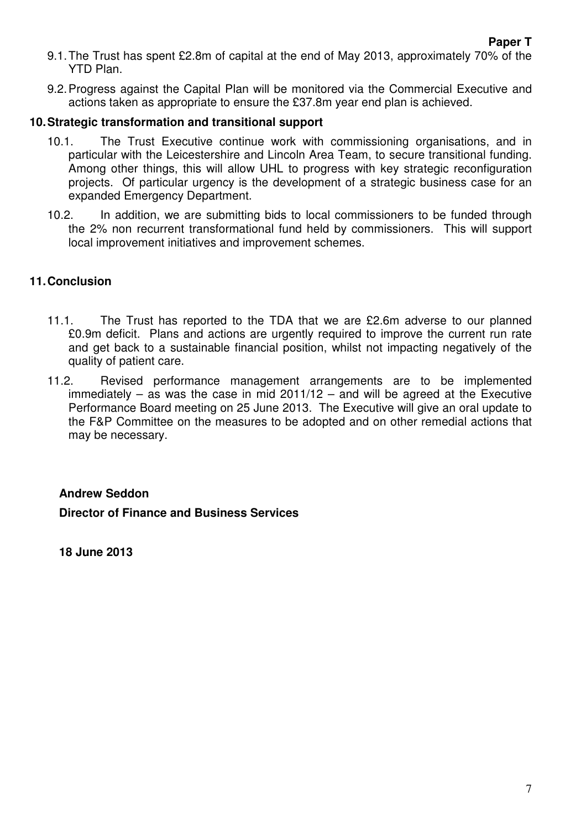- 9.1. The Trust has spent £2.8m of capital at the end of May 2013, approximately 70% of the YTD Plan.
- 9.2. Progress against the Capital Plan will be monitored via the Commercial Executive and actions taken as appropriate to ensure the £37.8m year end plan is achieved.

# **10. Strategic transformation and transitional support**

- 10.1. The Trust Executive continue work with commissioning organisations, and in particular with the Leicestershire and Lincoln Area Team, to secure transitional funding. Among other things, this will allow UHL to progress with key strategic reconfiguration projects. Of particular urgency is the development of a strategic business case for an expanded Emergency Department.
- 10.2. In addition, we are submitting bids to local commissioners to be funded through the 2% non recurrent transformational fund held by commissioners. This will support local improvement initiatives and improvement schemes.

# **11. Conclusion**

- 11.1. The Trust has reported to the TDA that we are £2.6m adverse to our planned £0.9m deficit. Plans and actions are urgently required to improve the current run rate and get back to a sustainable financial position, whilst not impacting negatively of the quality of patient care.
- 11.2. Revised performance management arrangements are to be implemented immediately – as was the case in mid  $2011/12$  – and will be agreed at the Executive Performance Board meeting on 25 June 2013. The Executive will give an oral update to the F&P Committee on the measures to be adopted and on other remedial actions that may be necessary.

# **Andrew Seddon**

**Director of Finance and Business Services** 

**18 June 2013**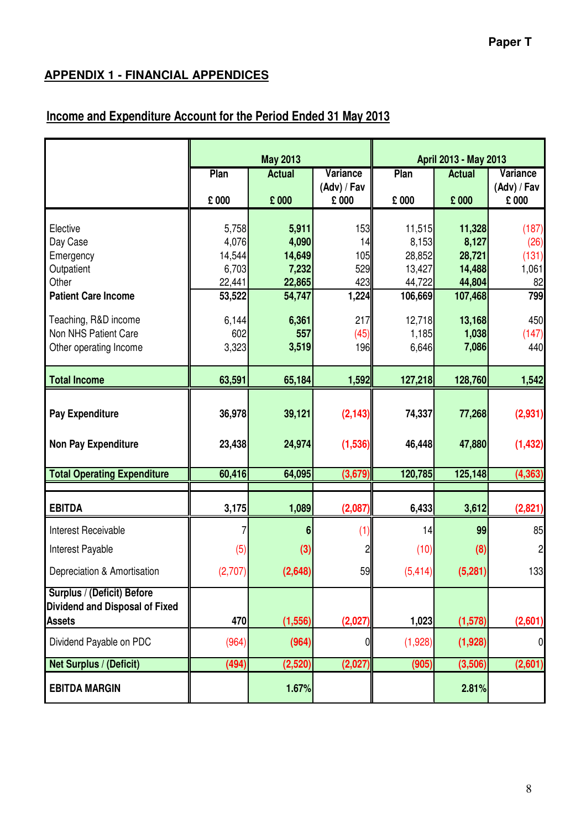# **APPENDIX 1 - FINANCIAL APPENDICES**

٦

# **Income and Expenditure Account for the Period Ended 31 May 2013**

|                                       |                 | <b>May 2013</b> |                         |                  | April 2013 - May 2013 |                         |  |  |
|---------------------------------------|-----------------|-----------------|-------------------------|------------------|-----------------------|-------------------------|--|--|
|                                       | Plan            | <b>Actual</b>   | Variance<br>(Adv) / Fav | Plan             | <b>Actual</b>         | Variance<br>(Adv) / Fav |  |  |
|                                       | £ 000           | £000            | £000                    | £ 000            | £000                  | £ 000                   |  |  |
|                                       |                 |                 |                         |                  |                       |                         |  |  |
| Elective                              | 5,758           | 5,911           | 153                     | 11,515           | 11,328                | (187)                   |  |  |
| Day Case                              | 4,076           | 4,090           | 14                      | 8,153            | 8,127                 | (26)                    |  |  |
| Emergency<br>Outpatient               | 14,544<br>6,703 | 14,649<br>7,232 | 105<br>529              | 28,852<br>13,427 | 28,721<br>14,488      | (131)<br>1,061          |  |  |
| Other                                 | 22,441          | 22,865          | 423                     | 44,722           | 44,804                | 82                      |  |  |
| <b>Patient Care Income</b>            | 53,522          | 54,747          | 1,224                   | 106,669          | 107,468               | 799                     |  |  |
|                                       |                 |                 |                         |                  |                       |                         |  |  |
| Teaching, R&D income                  | 6,144           | 6,361           | 217                     | 12,718           | 13,168                | 450                     |  |  |
| Non NHS Patient Care                  | 602             | 557             | (45)                    | 1,185            | 1,038                 | (147)                   |  |  |
| Other operating Income                | 3,323           | 3,519           | 196                     | 6,646            | 7,086                 | 440                     |  |  |
|                                       |                 |                 |                         |                  |                       |                         |  |  |
| <b>Total Income</b>                   | 63,591          | 65,184          | 1,592                   | 127,218          | 128,760               | 1,542                   |  |  |
|                                       |                 |                 |                         |                  |                       |                         |  |  |
| <b>Pay Expenditure</b>                | 36,978          | 39,121          | (2, 143)                | 74,337           | 77,268                | (2,931)                 |  |  |
| <b>Non Pay Expenditure</b>            | 23,438          | 24,974          | (1,536)                 | 46,448           | 47,880                | (1, 432)                |  |  |
| <b>Total Operating Expenditure</b>    | 60,416          | 64,095          | (3,679)                 | 120,785          | 125,148               | (4, 363)                |  |  |
|                                       |                 |                 |                         |                  |                       |                         |  |  |
| <b>EBITDA</b>                         | 3,175           | 1,089           | (2,087)                 | 6,433            | 3,612                 | (2,821)                 |  |  |
| Interest Receivable                   |                 | 6               | (1)                     | 14               | 99                    | 85                      |  |  |
| Interest Payable                      | (5)             | (3)             | 2                       | (10)             | (8)                   | 2                       |  |  |
| Depreciation & Amortisation           | (2,707)         | (2,648)         | 59                      | (5, 414)         | (5,281)               | 133                     |  |  |
| <b>Surplus / (Deficit) Before</b>     |                 |                 |                         |                  |                       |                         |  |  |
| <b>Dividend and Disposal of Fixed</b> |                 |                 |                         |                  |                       |                         |  |  |
| <b>Assets</b>                         | 470             | (1, 556)        | (2,027)                 | 1,023            | (1,578)               | (2,601)                 |  |  |
| Dividend Payable on PDC               | (964)           | (964)           | $\overline{0}$          | (1,928)          | (1,928)               | 0                       |  |  |
| <b>Net Surplus / (Deficit)</b>        | (494)           | (2,520)         | (2,027)                 | (905)            | (3,506)               | (2,601)                 |  |  |
| <b>EBITDA MARGIN</b>                  |                 | 1.67%           |                         |                  | 2.81%                 |                         |  |  |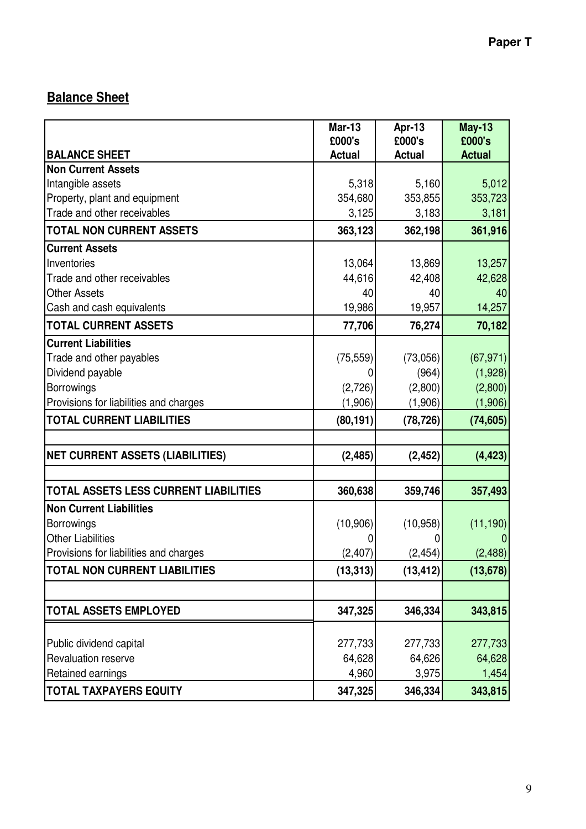# **Balance Sheet**

|                                         | <b>Mar-13</b>           | Apr-13                  | <b>May-13</b>           |
|-----------------------------------------|-------------------------|-------------------------|-------------------------|
| <b>BALANCE SHEET</b>                    | £000's<br><b>Actual</b> | £000's<br><b>Actual</b> | £000's<br><b>Actual</b> |
| <b>Non Current Assets</b>               |                         |                         |                         |
| Intangible assets                       | 5,318                   | 5,160                   | 5,012                   |
| Property, plant and equipment           | 354,680                 | 353,855                 | 353,723                 |
| Trade and other receivables             | 3,125                   | 3,183                   | 3,181                   |
| <b>TOTAL NON CURRENT ASSETS</b>         | 363,123                 | 362,198                 | 361,916                 |
| <b>Current Assets</b>                   |                         |                         |                         |
| Inventories                             | 13,064                  | 13,869                  | 13,257                  |
| Trade and other receivables             | 44,616                  | 42,408                  | 42,628                  |
| <b>Other Assets</b>                     | 40                      | 40                      | 40                      |
| Cash and cash equivalents               | 19,986                  | 19,957                  | 14,257                  |
| <b>TOTAL CURRENT ASSETS</b>             | 77,706                  | 76,274                  | 70,182                  |
| <b>Current Liabilities</b>              |                         |                         |                         |
| Trade and other payables                | (75, 559)               | (73,056)                | (67, 971)               |
| Dividend payable                        | 0                       | (964)                   | (1,928)                 |
| Borrowings                              | (2,726)                 | (2,800)                 | (2,800)                 |
| Provisions for liabilities and charges  | (1,906)                 | (1,906)                 | (1,906)                 |
| <b>TOTAL CURRENT LIABILITIES</b>        | (80, 191)               | (78, 726)               | (74, 605)               |
| <b>NET CURRENT ASSETS (LIABILITIES)</b> | (2, 485)                | (2, 452)                | (4, 423)                |
|                                         |                         |                         |                         |
| TOTAL ASSETS LESS CURRENT LIABILITIES   | 360,638                 | 359,746                 | 357,493                 |
| <b>Non Current Liabilities</b>          |                         |                         |                         |
| <b>Borrowings</b>                       | (10, 906)               | (10, 958)               | (11, 190)               |
| <b>Other Liabilities</b>                |                         |                         |                         |
| Provisions for liabilities and charges  | (2, 407)                | (2, 454)                | (2, 488)                |
| <b>TOTAL NON CURRENT LIABILITIES</b>    | (13, 313)               | (13, 412)               | (13, 678)               |
|                                         |                         |                         |                         |
| <b>TOTAL ASSETS EMPLOYED</b>            | 347,325                 | 346,334                 | 343,815                 |
|                                         |                         |                         |                         |
| Public dividend capital                 | 277,733                 | 277,733                 | 277,733                 |
| <b>Revaluation reserve</b>              | 64,628                  | 64,626                  | 64,628                  |
| Retained earnings                       | 4,960                   | 3,975                   | 1,454                   |
| <b>TOTAL TAXPAYERS EQUITY</b>           | 347,325                 | 346,334                 | 343,815                 |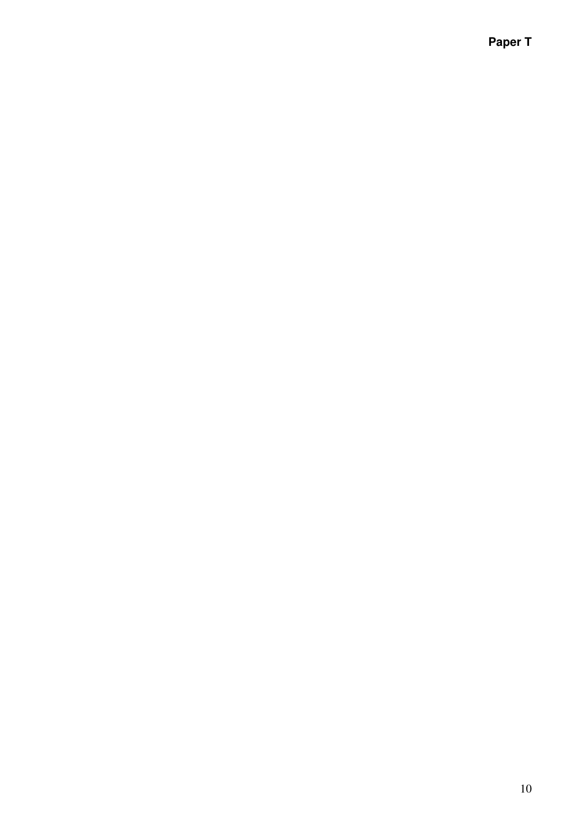# **Paper T**